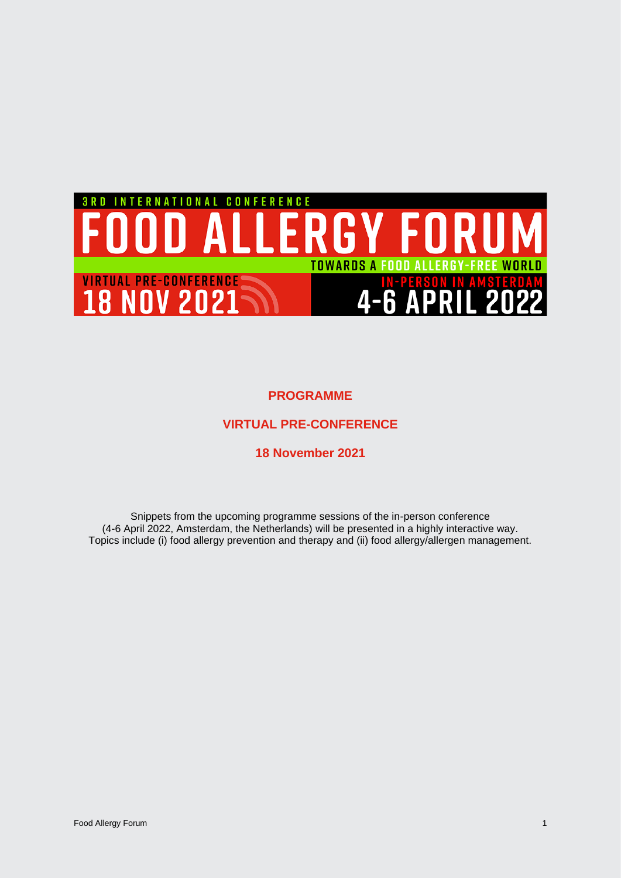

**PROGRAMME**

# **VIRTUAL PRE-CONFERENCE**

## **18 November 2021**

Snippets from the upcoming programme sessions of the in-person conference (4-6 April 2022, Amsterdam, the Netherlands) will be presented in a highly interactive way. Topics include (i) food allergy prevention and therapy and (ii) food allergy/allergen management.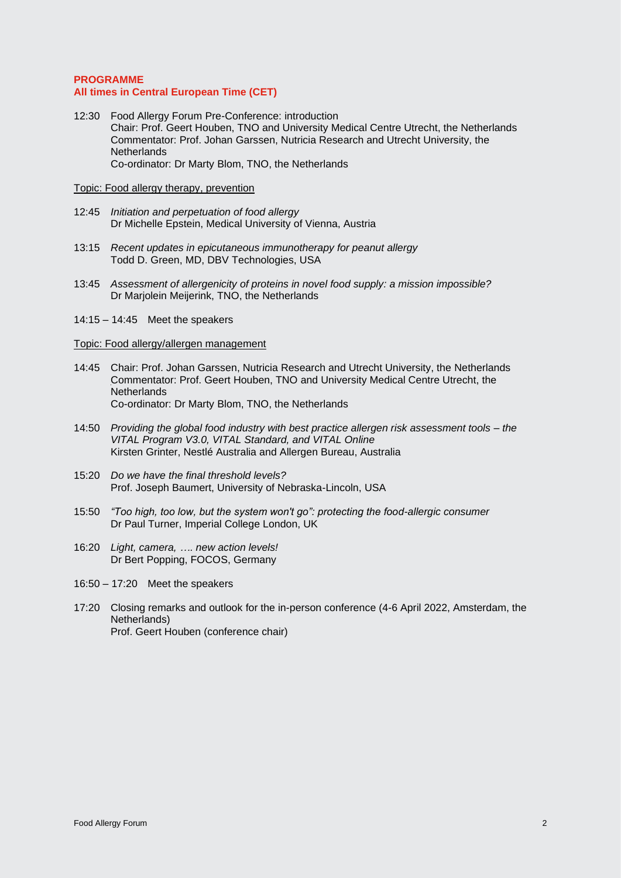## **PROGRAMME All times in Central European Time (CET)**

12:30 Food Allergy Forum Pre-Conference: introduction Chair: Prof. Geert Houben, TNO and University Medical Centre Utrecht, the Netherlands Commentator: Prof. Johan Garssen, Nutricia Research and Utrecht University, the **Netherlands** Co-ordinator: Dr Marty Blom, TNO, the Netherlands

## Topic: Food allergy therapy, prevention

- 12:45 *Initiation and perpetuation of food allergy* Dr Michelle Epstein, Medical University of Vienna, Austria
- 13:15 *Recent updates in epicutaneous immunotherapy for peanut allergy* Todd D. Green, MD, DBV Technologies, USA
- 13:45 *Assessment of allergenicity of proteins in novel food supply: a mission impossible?* Dr Marjolein Meijerink, TNO, the Netherlands
- 14:15 14:45 Meet the speakers

#### Topic: Food allergy/allergen management

- 14:45 Chair: Prof. Johan Garssen, Nutricia Research and Utrecht University, the Netherlands Commentator: Prof. Geert Houben, TNO and University Medical Centre Utrecht, the **Netherlands** Co-ordinator: Dr Marty Blom, TNO, the Netherlands
- 14:50 *Providing the global food industry with best practice allergen risk assessment tools – the VITAL Program V3.0, VITAL Standard, and VITAL Online* Kirsten Grinter, Nestlé Australia and Allergen Bureau, Australia
- 15:20 *Do we have the final threshold levels?* Prof. Joseph Baumert, University of Nebraska-Lincoln, USA
- 15:50 *"Too high, too low, but the system won't go": protecting the food-allergic consumer* Dr Paul Turner, Imperial College London, UK
- 16:20 *Light, camera, …. new action levels!* Dr Bert Popping, FOCOS, Germany
- 16:50 17:20 Meet the speakers
- 17:20 Closing remarks and outlook for the in-person conference (4-6 April 2022, Amsterdam, the Netherlands) Prof. Geert Houben (conference chair)